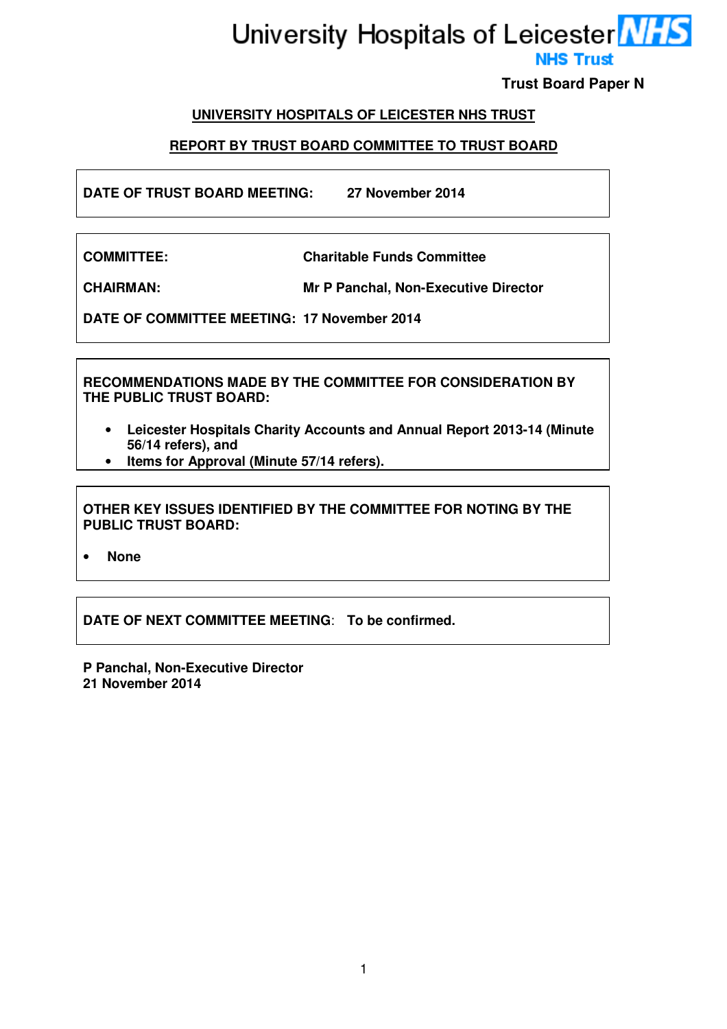# University Hospitals of Leicester MHS **NHS Trust**

**Trust Board Paper N** 

# **UNIVERSITY HOSPITALS OF LEICESTER NHS TRUST**

# **REPORT BY TRUST BOARD COMMITTEE TO TRUST BOARD**

**DATE OF TRUST BOARD MEETING: 27 November 2014** 

**COMMITTEE: Charitable Funds Committee** 

**CHAIRMAN: Mr P Panchal, Non-Executive Director** 

**DATE OF COMMITTEE MEETING: 17 November 2014** 

**RECOMMENDATIONS MADE BY THE COMMITTEE FOR CONSIDERATION BY THE PUBLIC TRUST BOARD:** 

- **Leicester Hospitals Charity Accounts and Annual Report 2013-14 (Minute 56/14 refers), and**
- **Items for Approval (Minute 57/14 refers).**

**OTHER KEY ISSUES IDENTIFIED BY THE COMMITTEE FOR NOTING BY THE PUBLIC TRUST BOARD:** 

• **None** 

**DATE OF NEXT COMMITTEE MEETING**: **To be confirmed.** 

**P Panchal, Non-Executive Director 21 November 2014**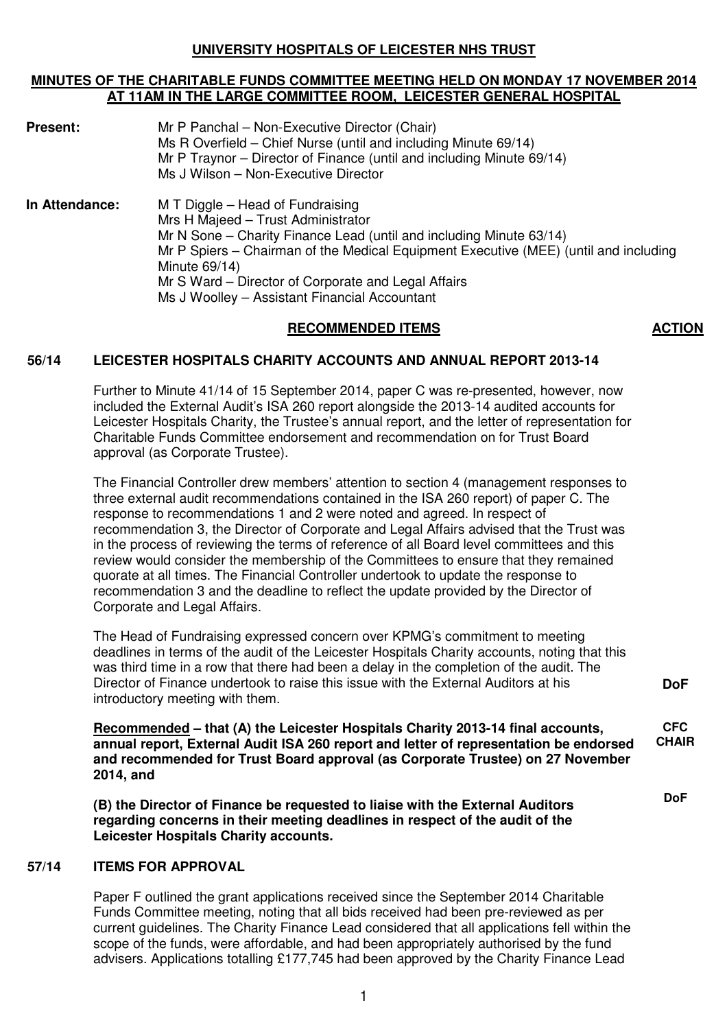# **UNIVERSITY HOSPITALS OF LEICESTER NHS TRUST**

#### **MINUTES OF THE CHARITABLE FUNDS COMMITTEE MEETING HELD ON MONDAY 17 NOVEMBER 2014 AT 11AM IN THE LARGE COMMITTEE ROOM, LEICESTER GENERAL HOSPITAL**

| <b>Present:</b> | Mr P Panchal - Non-Executive Director (Chair)<br>Ms R Overfield – Chief Nurse (until and including Minute 69/14)<br>Mr P Traynor – Director of Finance (until and including Minute 69/14)<br>Ms J Wilson - Non-Executive Director                                                                                                                              |
|-----------------|----------------------------------------------------------------------------------------------------------------------------------------------------------------------------------------------------------------------------------------------------------------------------------------------------------------------------------------------------------------|
| In Attendance:  | M T Diggle – Head of Fundraising<br>Mrs H Majeed - Trust Administrator<br>Mr N Sone – Charity Finance Lead (until and including Minute 63/14)<br>Mr P Spiers – Chairman of the Medical Equipment Executive (MEE) (until and including<br>Minute 69/14)<br>Mr S Ward - Director of Corporate and Legal Affairs<br>Ms J Woolley - Assistant Financial Accountant |

#### RECOMMENDED ITEMS **ACTION**

#### **56/14 LEICESTER HOSPITALS CHARITY ACCOUNTS AND ANNUAL REPORT 2013-14**

Further to Minute 41/14 of 15 September 2014, paper C was re-presented, however, now included the External Audit's ISA 260 report alongside the 2013-14 audited accounts for Leicester Hospitals Charity, the Trustee's annual report, and the letter of representation for Charitable Funds Committee endorsement and recommendation on for Trust Board approval (as Corporate Trustee).

The Financial Controller drew members' attention to section 4 (management responses to three external audit recommendations contained in the ISA 260 report) of paper C. The response to recommendations 1 and 2 were noted and agreed. In respect of recommendation 3, the Director of Corporate and Legal Affairs advised that the Trust was in the process of reviewing the terms of reference of all Board level committees and this review would consider the membership of the Committees to ensure that they remained quorate at all times. The Financial Controller undertook to update the response to recommendation 3 and the deadline to reflect the update provided by the Director of Corporate and Legal Affairs.

The Head of Fundraising expressed concern over KPMG's commitment to meeting deadlines in terms of the audit of the Leicester Hospitals Charity accounts, noting that this was third time in a row that there had been a delay in the completion of the audit. The Director of Finance undertook to raise this issue with the External Auditors at his introductory meeting with them.

 **Recommended – that (A) the Leicester Hospitals Charity 2013-14 final accounts, annual report, External Audit ISA 260 report and letter of representation be endorsed and recommended for Trust Board approval (as Corporate Trustee) on 27 November 2014, and CFC** 

**(B) the Director of Finance be requested to liaise with the External Auditors regarding concerns in their meeting deadlines in respect of the audit of the Leicester Hospitals Charity accounts.** 

#### **57/14 ITEMS FOR APPROVAL**

 Paper F outlined the grant applications received since the September 2014 Charitable Funds Committee meeting, noting that all bids received had been pre-reviewed as per current guidelines. The Charity Finance Lead considered that all applications fell within the scope of the funds, were affordable, and had been appropriately authorised by the fund advisers. Applications totalling £177,745 had been approved by the Charity Finance Lead

**DoF** 

**CHAIR** 

**DoF**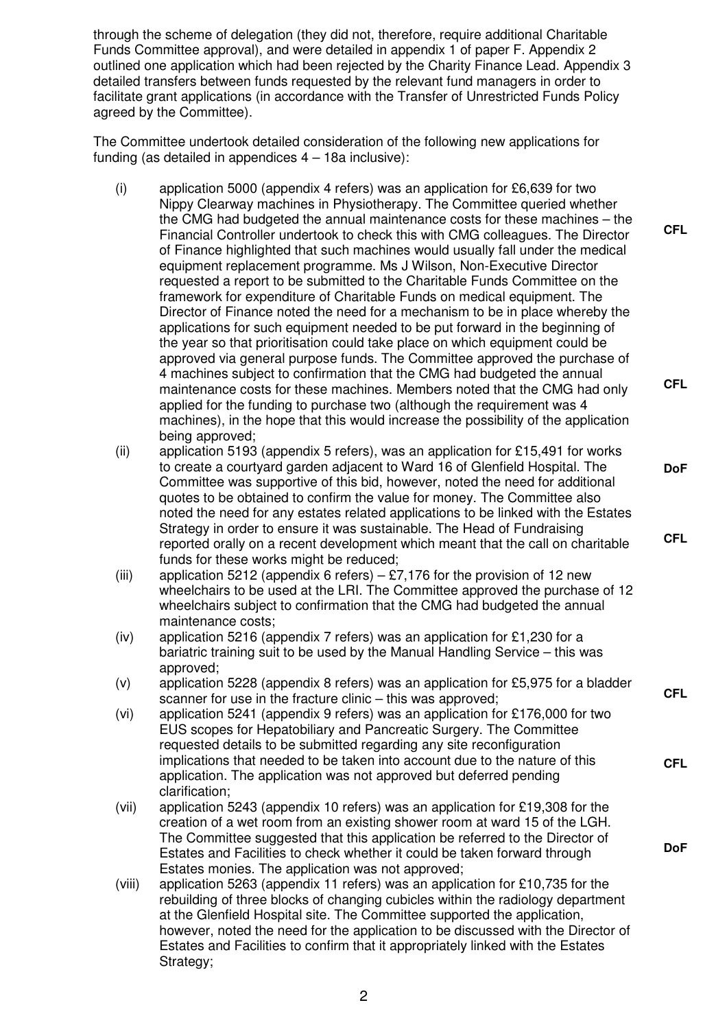through the scheme of delegation (they did not, therefore, require additional Charitable Funds Committee approval), and were detailed in appendix 1 of paper F. Appendix 2 outlined one application which had been rejected by the Charity Finance Lead. Appendix 3 detailed transfers between funds requested by the relevant fund managers in order to facilitate grant applications (in accordance with the Transfer of Unrestricted Funds Policy agreed by the Committee).

 The Committee undertook detailed consideration of the following new applications for funding (as detailed in appendices 4 – 18a inclusive):

(i) application 5000 (appendix 4 refers) was an application for £6,639 for two Nippy Clearway machines in Physiotherapy. The Committee queried whether the CMG had budgeted the annual maintenance costs for these machines – the Financial Controller undertook to check this with CMG colleagues. The Director of Finance highlighted that such machines would usually fall under the medical equipment replacement programme. Ms J Wilson, Non-Executive Director requested a report to be submitted to the Charitable Funds Committee on the framework for expenditure of Charitable Funds on medical equipment. The Director of Finance noted the need for a mechanism to be in place whereby the applications for such equipment needed to be put forward in the beginning of the year so that prioritisation could take place on which equipment could be approved via general purpose funds. The Committee approved the purchase of 4 machines subject to confirmation that the CMG had budgeted the annual maintenance costs for these machines. Members noted that the CMG had only applied for the funding to purchase two (although the requirement was 4 machines), in the hope that this would increase the possibility of the application being approved;

**CFL** 

**CFL** 

**DoF** 

**CFL** 

**CFL** 

**CFL** 

**DoF** 

- (ii) application 5193 (appendix 5 refers), was an application for £15,491 for works to create a courtyard garden adjacent to Ward 16 of Glenfield Hospital. The Committee was supportive of this bid, however, noted the need for additional quotes to be obtained to confirm the value for money. The Committee also noted the need for any estates related applications to be linked with the Estates Strategy in order to ensure it was sustainable. The Head of Fundraising reported orally on a recent development which meant that the call on charitable funds for these works might be reduced;
- (iii) application 5212 (appendix 6 refers) £7,176 for the provision of 12 new wheelchairs to be used at the LRI. The Committee approved the purchase of 12 wheelchairs subject to confirmation that the CMG had budgeted the annual maintenance costs;
- (iv) application 5216 (appendix 7 refers) was an application for £1,230 for a bariatric training suit to be used by the Manual Handling Service – this was approved;
- (v) application 5228 (appendix 8 refers) was an application for £5,975 for a bladder scanner for use in the fracture clinic – this was approved;
- (vi) application 5241 (appendix 9 refers) was an application for £176,000 for two EUS scopes for Hepatobiliary and Pancreatic Surgery. The Committee requested details to be submitted regarding any site reconfiguration implications that needed to be taken into account due to the nature of this application. The application was not approved but deferred pending clarification;
- (vii) application 5243 (appendix 10 refers) was an application for £19,308 for the creation of a wet room from an existing shower room at ward 15 of the LGH. The Committee suggested that this application be referred to the Director of Estates and Facilities to check whether it could be taken forward through Estates monies. The application was not approved;
- (viii) application 5263 (appendix 11 refers) was an application for £10,735 for the rebuilding of three blocks of changing cubicles within the radiology department at the Glenfield Hospital site. The Committee supported the application, however, noted the need for the application to be discussed with the Director of Estates and Facilities to confirm that it appropriately linked with the Estates Strategy;

2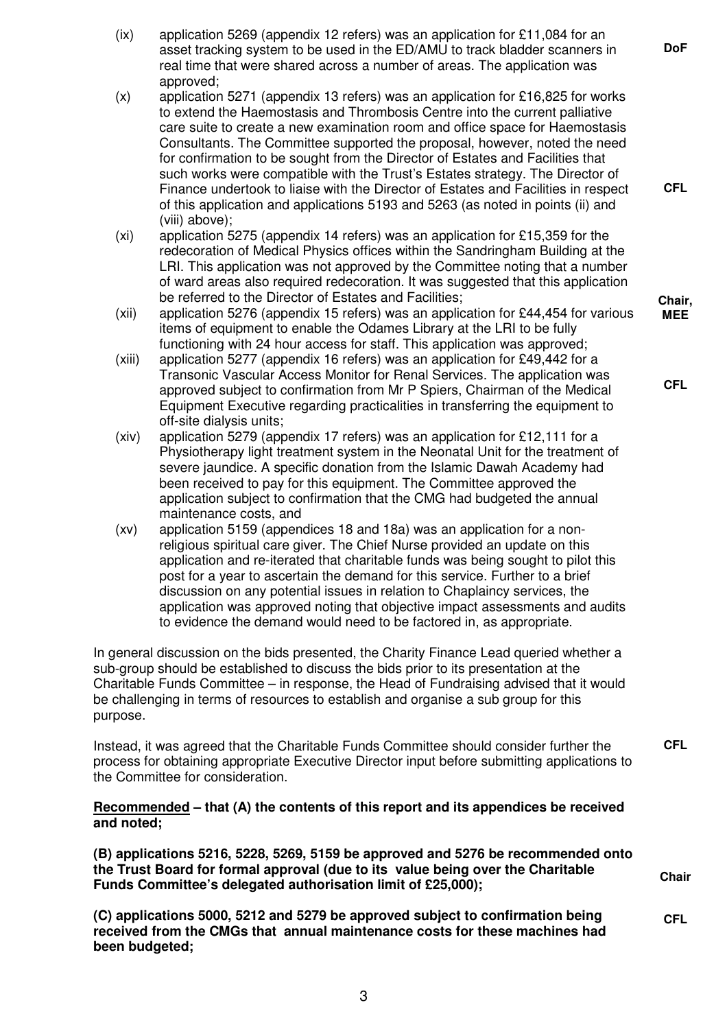- (ix) application 5269 (appendix 12 refers) was an application for £11,084 for an asset tracking system to be used in the ED/AMU to track bladder scanners in real time that were shared across a number of areas. The application was approved;
- $(x)$  application 5271 (appendix 13 refers) was an application for £16,825 for works to extend the Haemostasis and Thrombosis Centre into the current palliative care suite to create a new examination room and office space for Haemostasis Consultants. The Committee supported the proposal, however, noted the need for confirmation to be sought from the Director of Estates and Facilities that such works were compatible with the Trust's Estates strategy. The Director of Finance undertook to liaise with the Director of Estates and Facilities in respect of this application and applications 5193 and 5263 (as noted in points (ii) and (viii) above);
- (xi) application 5275 (appendix 14 refers) was an application for £15,359 for the redecoration of Medical Physics offices within the Sandringham Building at the LRI. This application was not approved by the Committee noting that a number of ward areas also required redecoration. It was suggested that this application be referred to the Director of Estates and Facilities;
- (xii) application 5276 (appendix 15 refers) was an application for £44,454 for various items of equipment to enable the Odames Library at the LRI to be fully functioning with 24 hour access for staff. This application was approved;
- (xiii) application 5277 (appendix 16 refers) was an application for £49,442 for a Transonic Vascular Access Monitor for Renal Services. The application was approved subject to confirmation from Mr P Spiers, Chairman of the Medical Equipment Executive regarding practicalities in transferring the equipment to off-site dialysis units;
- (xiv) application 5279 (appendix 17 refers) was an application for £12,111 for a Physiotherapy light treatment system in the Neonatal Unit for the treatment of severe jaundice. A specific donation from the Islamic Dawah Academy had been received to pay for this equipment. The Committee approved the application subject to confirmation that the CMG had budgeted the annual maintenance costs, and
- (xv) application 5159 (appendices 18 and 18a) was an application for a nonreligious spiritual care giver. The Chief Nurse provided an update on this application and re-iterated that charitable funds was being sought to pilot this post for a year to ascertain the demand for this service. Further to a brief discussion on any potential issues in relation to Chaplaincy services, the application was approved noting that objective impact assessments and audits to evidence the demand would need to be factored in, as appropriate.

 In general discussion on the bids presented, the Charity Finance Lead queried whether a sub-group should be established to discuss the bids prior to its presentation at the Charitable Funds Committee – in response, the Head of Fundraising advised that it would be challenging in terms of resources to establish and organise a sub group for this purpose.

 Instead, it was agreed that the Charitable Funds Committee should consider further the process for obtaining appropriate Executive Director input before submitting applications to the Committee for consideration.

# **Recommended – that (A) the contents of this report and its appendices be received and noted;**

**(B) applications 5216, 5228, 5269, 5159 be approved and 5276 be recommended onto the Trust Board for formal approval (due to its value being over the Charitable Funds Committee's delegated authorisation limit of £25,000);** 

**(C) applications 5000, 5212 and 5279 be approved subject to confirmation being received from the CMGs that annual maintenance costs for these machines had been budgeted; CFL** 

**Chair, MEE** 

**CFL** 

**DoF** 

**CFL** 

**CFL** 

**Chair**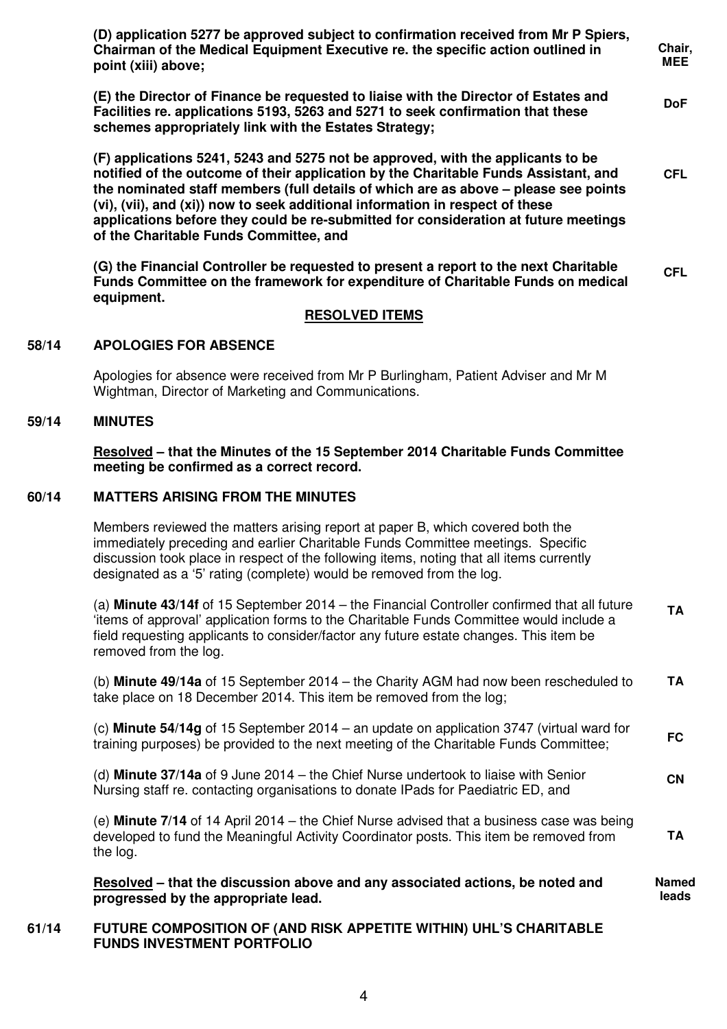|       | (D) application 5277 be approved subject to confirmation received from Mr P Spiers,<br>Chairman of the Medical Equipment Executive re. the specific action outlined in<br>point (xiii) above;                                                                                                                                                                                                                                                                                   | Chair,<br><b>MEE</b>  |  |  |
|-------|---------------------------------------------------------------------------------------------------------------------------------------------------------------------------------------------------------------------------------------------------------------------------------------------------------------------------------------------------------------------------------------------------------------------------------------------------------------------------------|-----------------------|--|--|
|       | (E) the Director of Finance be requested to liaise with the Director of Estates and<br>Facilities re. applications 5193, 5263 and 5271 to seek confirmation that these<br>schemes appropriately link with the Estates Strategy;                                                                                                                                                                                                                                                 | <b>DoF</b>            |  |  |
|       | (F) applications 5241, 5243 and 5275 not be approved, with the applicants to be<br>notified of the outcome of their application by the Charitable Funds Assistant, and<br>the nominated staff members (full details of which are as above - please see points<br>(vi), (vii), and (xi)) now to seek additional information in respect of these<br>applications before they could be re-submitted for consideration at future meetings<br>of the Charitable Funds Committee, and |                       |  |  |
|       | (G) the Financial Controller be requested to present a report to the next Charitable<br>Funds Committee on the framework for expenditure of Charitable Funds on medical<br>equipment.                                                                                                                                                                                                                                                                                           | <b>CFL</b>            |  |  |
|       | <b>RESOLVED ITEMS</b>                                                                                                                                                                                                                                                                                                                                                                                                                                                           |                       |  |  |
| 58/14 | <b>APOLOGIES FOR ABSENCE</b>                                                                                                                                                                                                                                                                                                                                                                                                                                                    |                       |  |  |
|       | Apologies for absence were received from Mr P Burlingham, Patient Adviser and Mr M<br>Wightman, Director of Marketing and Communications.                                                                                                                                                                                                                                                                                                                                       |                       |  |  |
| 59/14 | <b>MINUTES</b>                                                                                                                                                                                                                                                                                                                                                                                                                                                                  |                       |  |  |
|       | Resolved - that the Minutes of the 15 September 2014 Charitable Funds Committee<br>meeting be confirmed as a correct record.                                                                                                                                                                                                                                                                                                                                                    |                       |  |  |
| 60/14 | <b>MATTERS ARISING FROM THE MINUTES</b>                                                                                                                                                                                                                                                                                                                                                                                                                                         |                       |  |  |
|       | Members reviewed the matters arising report at paper B, which covered both the<br>immediately preceding and earlier Charitable Funds Committee meetings. Specific<br>discussion took place in respect of the following items, noting that all items currently<br>designated as a '5' rating (complete) would be removed from the log.                                                                                                                                           |                       |  |  |
|       | (a) Minute 43/14f of 15 September 2014 - the Financial Controller confirmed that all future<br>'items of approval' application forms to the Charitable Funds Committee would include a<br>field requesting applicants to consider/factor any future estate changes. This item be<br>removed from the log.                                                                                                                                                                       | <b>TA</b>             |  |  |
|       | (b) Minute 49/14a of 15 September 2014 - the Charity AGM had now been rescheduled to<br>take place on 18 December 2014. This item be removed from the log;                                                                                                                                                                                                                                                                                                                      | <b>TA</b>             |  |  |
|       | (c) Minute 54/14g of 15 September 2014 – an update on application $3747$ (virtual ward for<br>training purposes) be provided to the next meeting of the Charitable Funds Committee;                                                                                                                                                                                                                                                                                             | <b>FC</b>             |  |  |
|       | (d) Minute 37/14a of 9 June 2014 - the Chief Nurse undertook to liaise with Senior<br>Nursing staff re. contacting organisations to donate IPads for Paediatric ED, and                                                                                                                                                                                                                                                                                                         | <b>CN</b>             |  |  |
|       | (e) Minute 7/14 of 14 April 2014 – the Chief Nurse advised that a business case was being<br>developed to fund the Meaningful Activity Coordinator posts. This item be removed from<br>the log.                                                                                                                                                                                                                                                                                 | <b>TA</b>             |  |  |
|       | Resolved – that the discussion above and any associated actions, be noted and<br>progressed by the appropriate lead.                                                                                                                                                                                                                                                                                                                                                            | <b>Named</b><br>leads |  |  |
| 61/14 | FUTURE COMPOSITION OF (AND RISK APPETITE WITHIN) UHL'S CHARITABLE<br><b>FUNDS INVESTMENT PORTFOLIO</b>                                                                                                                                                                                                                                                                                                                                                                          |                       |  |  |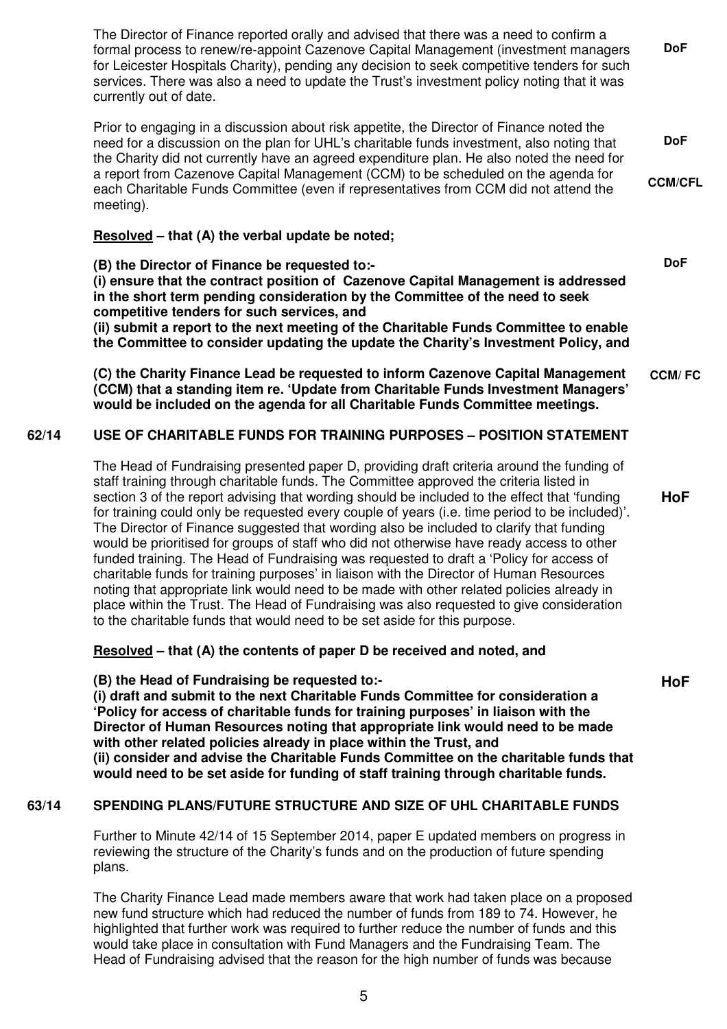The Director of Finance reported orally and advised that there was a need to confirm a formal process to renew/re-appoint Cazenove Capital Management (investment managers for Leicester Hospitals Charity), pending any decision to seek competitive tenders for such services. There was also a need to update the Trust's investment policy noting that it was currently out of date. **DoF** 

Prior to engaging in a discussion about risk appetite, the Director of Finance noted the need for a discussion on the plan for UHL's charitable funds investment, also noting that the Charity did not currently have an agreed expenditure plan. He also noted the need for a report from Cazenove Capital Management (CCM) to be scheduled on the agenda for each Charitable Funds Committee (even if representatives from CCM did not attend the meeting). **DoF CCM/CFL** 

# **Resolved – that (A) the verbal update be noted;**

**(B) the Director of Finance be requested to:- (i) ensure that the contract position of Cazenove Capital Management is addressed in the short term pending consideration by the Committee of the need to seek competitive tenders for such services, and (ii) submit a report to the next meeting of the Charitable Funds Committee to enable** 

**the Committee to consider updating the update the Charity's Investment Policy, and** 

**(C) the Charity Finance Lead be requested to inform Cazenove Capital Management (CCM) that a standing item re. 'Update from Charitable Funds Investment Managers' would be included on the agenda for all Charitable Funds Committee meetings. CCM/ FC** 

# **62/14 USE OF CHARITABLE FUNDS FOR TRAINING PURPOSES – POSITION STATEMENT**

The Head of Fundraising presented paper D, providing draft criteria around the funding of staff training through charitable funds. The Committee approved the criteria listed in section 3 of the report advising that wording should be included to the effect that 'funding for training could only be requested every couple of years (i.e. time period to be included)'. The Director of Finance suggested that wording also be included to clarify that funding would be prioritised for groups of staff who did not otherwise have ready access to other funded training. The Head of Fundraising was requested to draft a 'Policy for access of charitable funds for training purposes' in liaison with the Director of Human Resources noting that appropriate link would need to be made with other related policies already in place within the Trust. The Head of Fundraising was also requested to give consideration to the charitable funds that would need to be set aside for this purpose.

#### **Resolved – that (A) the contents of paper D be received and noted, and**

#### **(B) the Head of Fundraising be requested to:-**

**(i) draft and submit to the next Charitable Funds Committee for consideration a 'Policy for access of charitable funds for training purposes' in liaison with the Director of Human Resources noting that appropriate link would need to be made with other related policies already in place within the Trust, and (ii) consider and advise the Charitable Funds Committee on the charitable funds that would need to be set aside for funding of staff training through charitable funds.**

#### **63/14 SPENDING PLANS/FUTURE STRUCTURE AND SIZE OF UHL CHARITABLE FUNDS**

Further to Minute 42/14 of 15 September 2014, paper E updated members on progress in reviewing the structure of the Charity's funds and on the production of future spending plans.

The Charity Finance Lead made members aware that work had taken place on a proposed new fund structure which had reduced the number of funds from 189 to 74. However, he highlighted that further work was required to further reduce the number of funds and this would take place in consultation with Fund Managers and the Fundraising Team. The Head of Fundraising advised that the reason for the high number of funds was because

**HoF** 

**DoF** 

**HoF**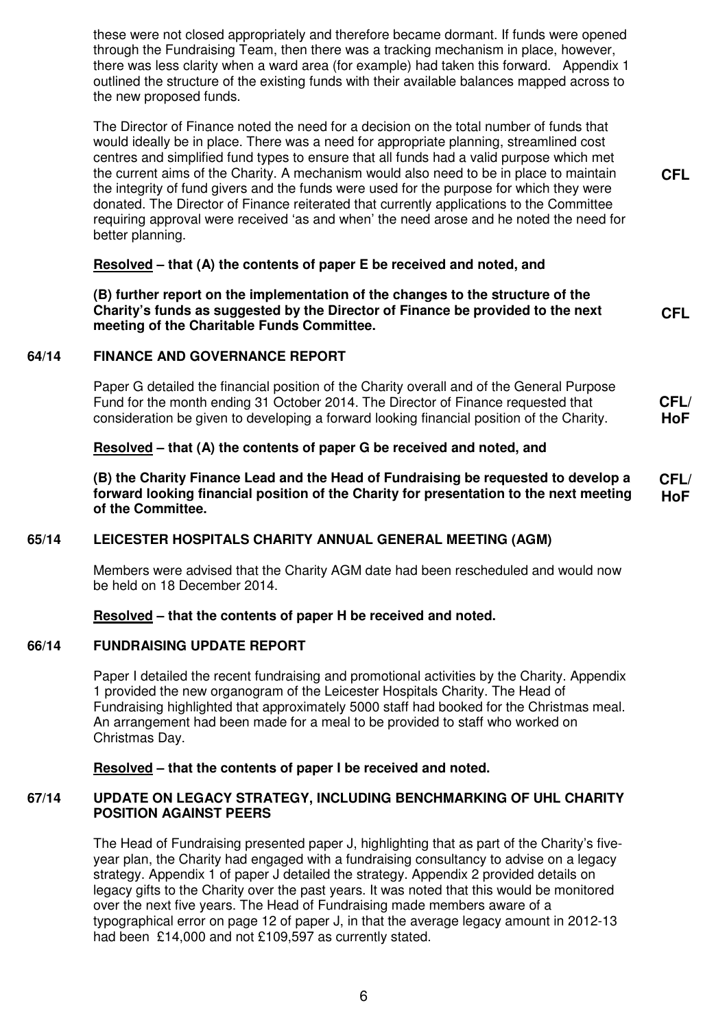these were not closed appropriately and therefore became dormant. If funds were opened through the Fundraising Team, then there was a tracking mechanism in place, however, there was less clarity when a ward area (for example) had taken this forward. Appendix 1 outlined the structure of the existing funds with their available balances mapped across to the new proposed funds.

The Director of Finance noted the need for a decision on the total number of funds that would ideally be in place. There was a need for appropriate planning, streamlined cost centres and simplified fund types to ensure that all funds had a valid purpose which met the current aims of the Charity. A mechanism would also need to be in place to maintain the integrity of fund givers and the funds were used for the purpose for which they were donated. The Director of Finance reiterated that currently applications to the Committee requiring approval were received 'as and when' the need arose and he noted the need for better planning.

**CFL** 

**CFL** 

# **Resolved – that (A) the contents of paper E be received and noted, and**

**(B) further report on the implementation of the changes to the structure of the Charity's funds as suggested by the Director of Finance be provided to the next meeting of the Charitable Funds Committee.** 

#### **64/14 FINANCE AND GOVERNANCE REPORT**

Paper G detailed the financial position of the Charity overall and of the General Purpose Fund for the month ending 31 October 2014. The Director of Finance requested that consideration be given to developing a forward looking financial position of the Charity. **CFL/ HoF** 

# **Resolved – that (A) the contents of paper G be received and noted, and**

**(B) the Charity Finance Lead and the Head of Fundraising be requested to develop a forward looking financial position of the Charity for presentation to the next meeting of the Committee. CFL/ HoF** 

#### **65/14 LEICESTER HOSPITALS CHARITY ANNUAL GENERAL MEETING (AGM)**

Members were advised that the Charity AGM date had been rescheduled and would now be held on 18 December 2014.

#### **Resolved – that the contents of paper H be received and noted.**

#### **66/14 FUNDRAISING UPDATE REPORT**

Paper I detailed the recent fundraising and promotional activities by the Charity. Appendix 1 provided the new organogram of the Leicester Hospitals Charity. The Head of Fundraising highlighted that approximately 5000 staff had booked for the Christmas meal. An arrangement had been made for a meal to be provided to staff who worked on Christmas Day.

#### **Resolved – that the contents of paper I be received and noted.**

#### **67/14 UPDATE ON LEGACY STRATEGY, INCLUDING BENCHMARKING OF UHL CHARITY POSITION AGAINST PEERS**

The Head of Fundraising presented paper J, highlighting that as part of the Charity's fiveyear plan, the Charity had engaged with a fundraising consultancy to advise on a legacy strategy. Appendix 1 of paper J detailed the strategy. Appendix 2 provided details on legacy gifts to the Charity over the past years. It was noted that this would be monitored over the next five years. The Head of Fundraising made members aware of a typographical error on page 12 of paper J, in that the average legacy amount in 2012-13 had been £14,000 and not £109,597 as currently stated.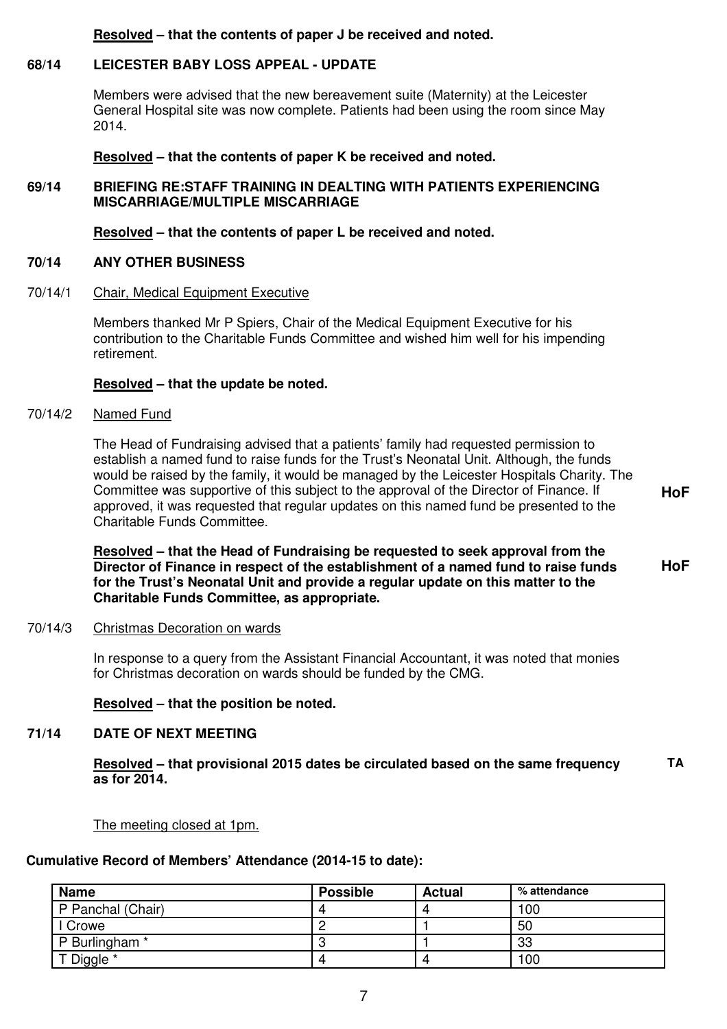#### **Resolved – that the contents of paper J be received and noted.**

### **68/14 LEICESTER BABY LOSS APPEAL - UPDATE**

Members were advised that the new bereavement suite (Maternity) at the Leicester General Hospital site was now complete. Patients had been using the room since May 2014.

 **Resolved – that the contents of paper K be received and noted.** 

### **69/14 BRIEFING RE:STAFF TRAINING IN DEALTING WITH PATIENTS EXPERIENCING MISCARRIAGE/MULTIPLE MISCARRIAGE**

#### **Resolved – that the contents of paper L be received and noted.**

### **70/14 ANY OTHER BUSINESS**

#### 70/14/1 Chair, Medical Equipment Executive

Members thanked Mr P Spiers, Chair of the Medical Equipment Executive for his contribution to the Charitable Funds Committee and wished him well for his impending retirement.

#### **Resolved – that the update be noted.**

#### 70/14/2 Named Fund

The Head of Fundraising advised that a patients' family had requested permission to establish a named fund to raise funds for the Trust's Neonatal Unit. Although, the funds would be raised by the family, it would be managed by the Leicester Hospitals Charity. The Committee was supportive of this subject to the approval of the Director of Finance. If approved, it was requested that regular updates on this named fund be presented to the Charitable Funds Committee.

**HoF**

**HoF** 

 **Resolved – that the Head of Fundraising be requested to seek approval from the Director of Finance in respect of the establishment of a named fund to raise funds for the Trust's Neonatal Unit and provide a regular update on this matter to the Charitable Funds Committee, as appropriate.**

#### 70/14/3 Christmas Decoration on wards

 In response to a query from the Assistant Financial Accountant, it was noted that monies for Christmas decoration on wards should be funded by the CMG.

#### **Resolved – that the position be noted.**

### **71/14 DATE OF NEXT MEETING**

 **Resolved – that provisional 2015 dates be circulated based on the same frequency as for 2014. TA** 

#### The meeting closed at 1pm.

# **Cumulative Record of Members' Attendance (2014-15 to date):**

| <b>Name</b>       | <b>Possible</b> | <b>Actual</b> | % attendance |
|-------------------|-----------------|---------------|--------------|
| P Panchal (Chair) |                 |               | 100          |
| I Crowe           |                 |               | 50           |
| P Burlingham *    |                 |               | 33           |
| T Diggle *        |                 | 4             | 100          |